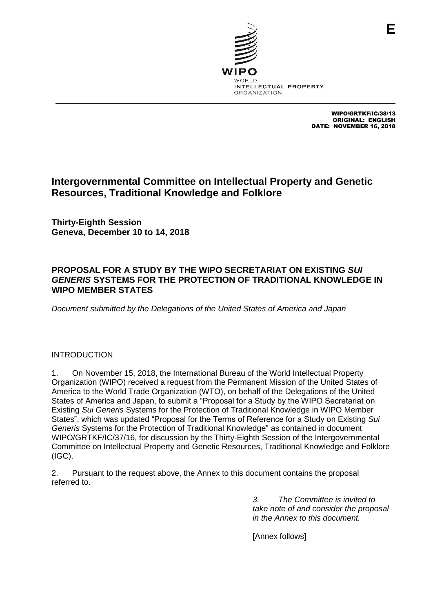

WIPO/GRTKF/IC/38/13 ORIGINAL: ENGLISH DATE: NOVEMBER 16, 2018

**E**

## **Intergovernmental Committee on Intellectual Property and Genetic Resources, Traditional Knowledge and Folklore**

**Thirty-Eighth Session Geneva, December 10 to 14, 2018**

## **PROPOSAL FOR A STUDY BY THE WIPO SECRETARIAT ON EXISTING** *SUI GENERIS* **SYSTEMS FOR THE PROTECTION OF TRADITIONAL KNOWLEDGE IN WIPO MEMBER STATES**

*Document submitted by the Delegations of the United States of America and Japan*

## INTRODUCTION

1. On November 15, 2018, the International Bureau of the World Intellectual Property Organization (WIPO) received a request from the Permanent Mission of the United States of America to the World Trade Organization (WTO), on behalf of the Delegations of the United States of America and Japan, to submit a "Proposal for a Study by the WIPO Secretariat on Existing *Sui Generis* Systems for the Protection of Traditional Knowledge in WIPO Member States", which was updated "Proposal for the Terms of Reference for a Study on Existing *Sui Generis* Systems for the Protection of Traditional Knowledge" as contained in document WIPO/GRTKF/IC/37/16, for discussion by the Thirty-Eighth Session of the Intergovernmental Committee on Intellectual Property and Genetic Resources, Traditional Knowledge and Folklore (IGC).

2. Pursuant to the request above, the Annex to this document contains the proposal referred to.

> *3. The Committee is invited to take note of and consider the proposal in the Annex to this document.*

[Annex follows]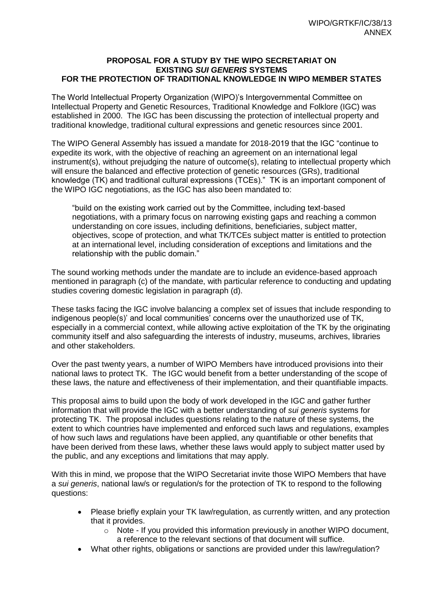## **PROPOSAL FOR A STUDY BY THE WIPO SECRETARIAT ON EXISTING** *SUI GENERIS* **SYSTEMS FOR THE PROTECTION OF TRADITIONAL KNOWLEDGE IN WIPO MEMBER STATES**

The World Intellectual Property Organization (WIPO)'s Intergovernmental Committee on Intellectual Property and Genetic Resources, Traditional Knowledge and Folklore (IGC) was established in 2000. The IGC has been discussing the protection of intellectual property and traditional knowledge, traditional cultural expressions and genetic resources since 2001.

The WIPO General Assembly has issued a mandate for 2018-2019 that the IGC "continue to expedite its work, with the objective of reaching an agreement on an international legal instrument(s), without prejudging the nature of outcome(s), relating to intellectual property which will ensure the balanced and effective protection of genetic resources (GRs), traditional knowledge (TK) and traditional cultural expressions (TCEs)." TK is an important component of the WIPO IGC negotiations, as the IGC has also been mandated to:

"build on the existing work carried out by the Committee, including text-based negotiations, with a primary focus on narrowing existing gaps and reaching a common understanding on core issues, including definitions, beneficiaries, subject matter, objectives, scope of protection, and what TK/TCEs subject matter is entitled to protection at an international level, including consideration of exceptions and limitations and the relationship with the public domain."

The sound working methods under the mandate are to include an evidence-based approach mentioned in paragraph (c) of the mandate, with particular reference to conducting and updating studies covering domestic legislation in paragraph (d).

These tasks facing the IGC involve balancing a complex set of issues that include responding to indigenous people(s)' and local communities' concerns over the unauthorized use of TK, especially in a commercial context, while allowing active exploitation of the TK by the originating community itself and also safeguarding the interests of industry, museums, archives, libraries and other stakeholders.

Over the past twenty years, a number of WIPO Members have introduced provisions into their national laws to protect TK. The IGC would benefit from a better understanding of the scope of these laws, the nature and effectiveness of their implementation, and their quantifiable impacts.

This proposal aims to build upon the body of work developed in the IGC and gather further information that will provide the IGC with a better understanding of *sui generis* systems for protecting TK. The proposal includes questions relating to the nature of these systems, the extent to which countries have implemented and enforced such laws and regulations, examples of how such laws and regulations have been applied, any quantifiable or other benefits that have been derived from these laws, whether these laws would apply to subject matter used by the public, and any exceptions and limitations that may apply.

With this in mind, we propose that the WIPO Secretariat invite those WIPO Members that have a *sui generis*, national law/s or regulation/s for the protection of TK to respond to the following questions:

- Please briefly explain your TK law/regulation, as currently written, and any protection that it provides.
	- $\circ$  Note If you provided this information previously in another WIPO document, a reference to the relevant sections of that document will suffice.
- What other rights, obligations or sanctions are provided under this law/regulation?